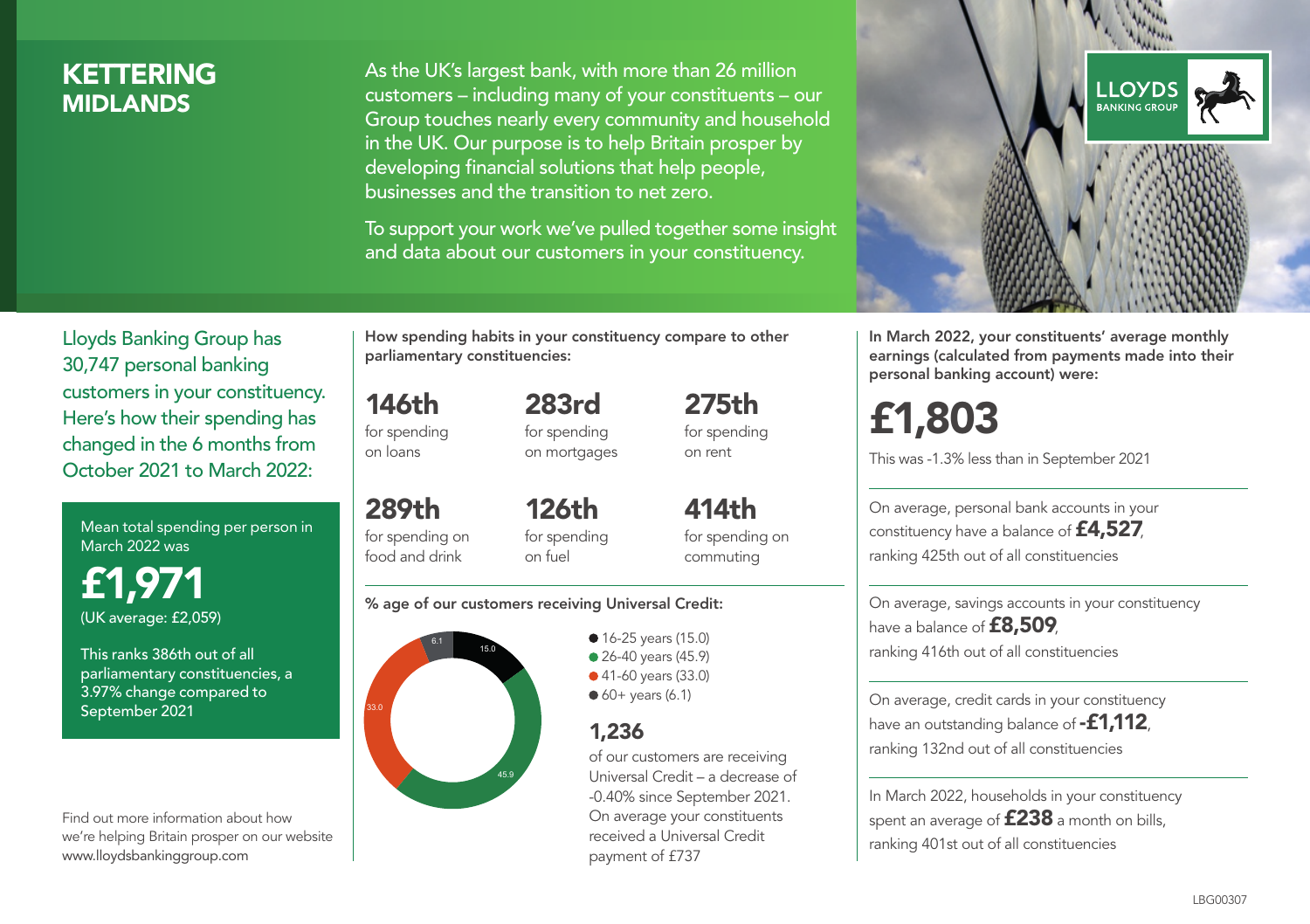# KETTERING **MIDI ANDS**

As the UK's largest bank, with more than 26 million customers – including many of your constituents – our Group touches nearly every community and household in the UK. Our purpose is to help Britain prosper by developing financial solutions that help people, businesses and the transition to net zero.

To support your work we've pulled together some insight and data about our customers in your constituency.



Mean total spending per person in March 2022 was

£1,971 (UK average: £2,059)

This ranks 386th out of all parliamentary constituencies, a 3.97% change compared to September 2021

Find out more information about how we're helping Britain prosper on our website www.lloydsbankinggroup.com

How spending habits in your constituency compare to other parliamentary constituencies:

146th for spending on loans

289th

283rd for spending on mortgages 275th for spending on rent

for spending on food and drink 126th for spending on fuel

414th for spending on commuting

#### % age of our customers receiving Universal Credit:



**16-25 years (15.0)** ● 26-40 years (45.9) ● 41-60 years (33.0)  $60+$  years (6.1)

## 1,236

of our customers are receiving Universal Credit – a decrease of -0.40% since September 2021. On average your constituents received a Universal Credit payment of £737



In March 2022, your constituents' average monthly earnings (calculated from payments made into their personal banking account) were:

# £1,803

This was -1.3% less than in September 2021

On average, personal bank accounts in your constituency have a balance of £4,527, ranking 425th out of all constituencies

On average, savings accounts in your constituency have a balance of **£8,509**, ranking 416th out of all constituencies

On average, credit cards in your constituency have an outstanding balance of **-£1,112**. ranking 132nd out of all constituencies

In March 2022, households in your constituency spent an average of **£238** a month on bills, ranking 401st out of all constituencies